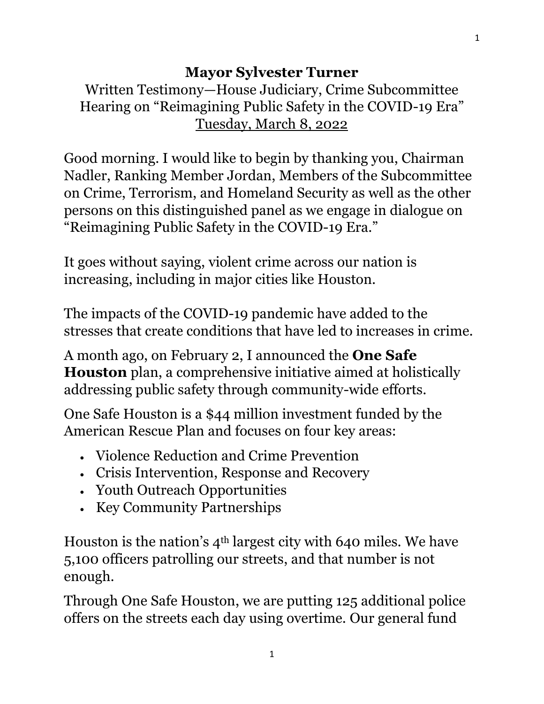## **Mayor Sylvester Turner**

Written Testimony—House Judiciary, Crime Subcommittee Hearing on "Reimagining Public Safety in the COVID-19 Era" Tuesday, March 8, 2022

Good morning. I would like to begin by thanking you, Chairman Nadler, Ranking Member Jordan, Members of the Subcommittee on Crime, Terrorism, and Homeland Security as well as the other persons on this distinguished panel as we engage in dialogue on "Reimagining Public Safety in the COVID-19 Era."

It goes without saying, violent crime across our nation is increasing, including in major cities like Houston.

The impacts of the COVID-19 pandemic have added to the stresses that create conditions that have led to increases in crime.

A month ago, on February 2, I announced the **One Safe Houston** plan, a comprehensive initiative aimed at holistically addressing public safety through community-wide efforts.

One Safe Houston is a \$44 million investment funded by the American Rescue Plan and focuses on four key areas:

- Violence Reduction and Crime Prevention
- Crisis Intervention, Response and Recovery
- Youth Outreach Opportunities
- Key Community Partnerships

Houston is the nation's 4th largest city with 640 miles. We have 5,100 officers patrolling our streets, and that number is not enough.

Through One Safe Houston, we are putting 125 additional police offers on the streets each day using overtime. Our general fund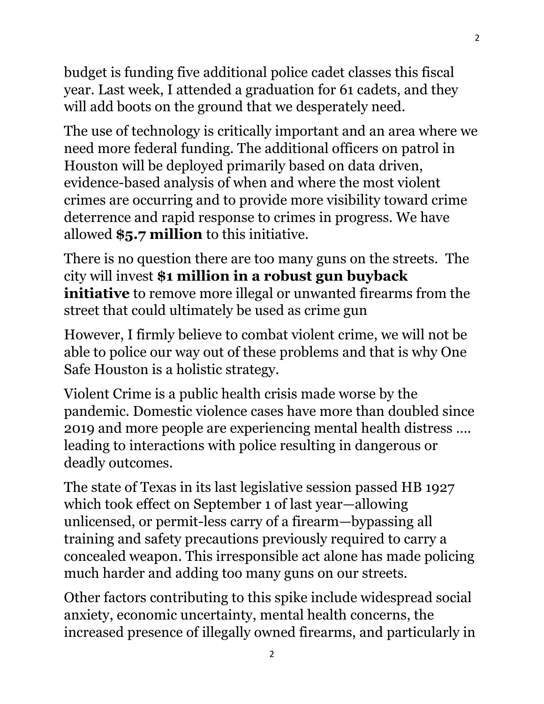budget is funding five additional police cadet classes this fiscal year. Last week, I attended a graduation for 61 cadets, and they will add boots on the ground that we desperately need.

2

The use of technology is critically important and an area where we need more federal funding. The additional officers on patrol in Houston will be deployed primarily based on data driven, evidence-based analysis of when and where the most violent crimes are occurring and to provide more visibility toward crime deterrence and rapid response to crimes in progress. We have allowed **\$5.7 million** to this initiative.

There is no question there are too many guns on the streets. The city will invest **\$1 million in a robust gun buyback initiative** to remove more illegal or unwanted firearms from the street that could ultimately be used as crime gun

However, I firmly believe to combat violent crime, we will not be able to police our way out of these problems and that is why One Safe Houston is a holistic strategy.

Violent Crime is a public health crisis made worse by the pandemic. Domestic violence cases have more than doubled since 2019 and more people are experiencing mental health distress …. leading to interactions with police resulting in dangerous or deadly outcomes.

The state of Texas in its last legislative session passed HB 1927 which took effect on September 1 of last year—allowing unlicensed, or permit-less carry of a firearm—bypassing all training and safety precautions previously required to carry a concealed weapon. This irresponsible act alone has made policing much harder and adding too many guns on our streets.

Other factors contributing to this spike include widespread social anxiety, economic uncertainty, mental health concerns, the increased presence of illegally owned firearms, and particularly in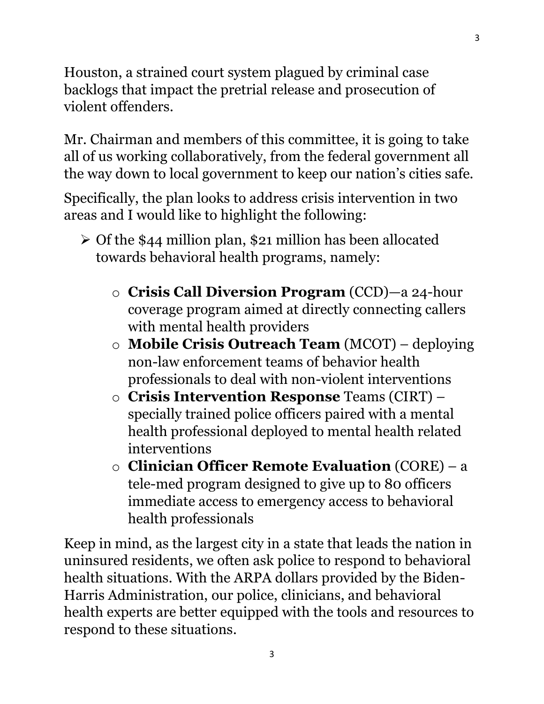Houston, a strained court system plagued by criminal case backlogs that impact the pretrial release and prosecution of violent offenders.

Mr. Chairman and members of this committee, it is going to take all of us working collaboratively, from the federal government all the way down to local government to keep our nation's cities safe.

Specifically, the plan looks to address crisis intervention in two areas and I would like to highlight the following:

- ➢ Of the \$44 million plan, \$21 million has been allocated towards behavioral health programs, namely:
	- o **Crisis Call Diversion Program** (CCD)—a 24-hour coverage program aimed at directly connecting callers with mental health providers
	- o **Mobile Crisis Outreach Team** (MCOT) deploying non-law enforcement teams of behavior health professionals to deal with non-violent interventions
	- o **Crisis Intervention Response** Teams (CIRT) specially trained police officers paired with a mental health professional deployed to mental health related interventions
	- o **Clinician Officer Remote Evaluation** (CORE) a tele-med program designed to give up to 80 officers immediate access to emergency access to behavioral health professionals

Keep in mind, as the largest city in a state that leads the nation in uninsured residents, we often ask police to respond to behavioral health situations. With the ARPA dollars provided by the Biden-Harris Administration, our police, clinicians, and behavioral health experts are better equipped with the tools and resources to respond to these situations.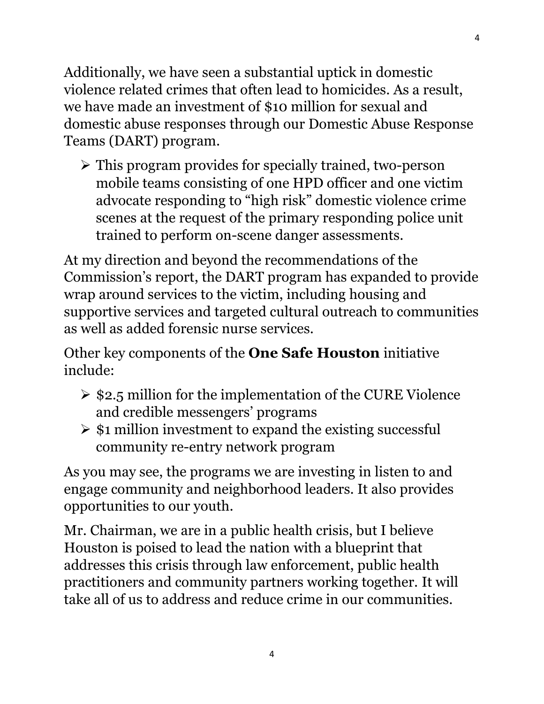Additionally, we have seen a substantial uptick in domestic violence related crimes that often lead to homicides. As a result, we have made an investment of \$10 million for sexual and domestic abuse responses through our Domestic Abuse Response Teams (DART) program.

➢ This program provides for specially trained, two-person mobile teams consisting of one HPD officer and one victim advocate responding to "high risk" domestic violence crime scenes at the request of the primary responding police unit trained to perform on-scene danger assessments.

At my direction and beyond the recommendations of the Commission's report, the DART program has expanded to provide wrap around services to the victim, including housing and supportive services and targeted cultural outreach to communities as well as added forensic nurse services.

Other key components of the **One Safe Houston** initiative include:

- $\geq$  \$2.5 million for the implementation of the CURE Violence and credible messengers' programs
- $\geq$  \$1 million investment to expand the existing successful community re-entry network program

As you may see, the programs we are investing in listen to and engage community and neighborhood leaders. It also provides opportunities to our youth.

Mr. Chairman, we are in a public health crisis, but I believe Houston is poised to lead the nation with a blueprint that addresses this crisis through law enforcement, public health practitioners and community partners working together. It will take all of us to address and reduce crime in our communities.